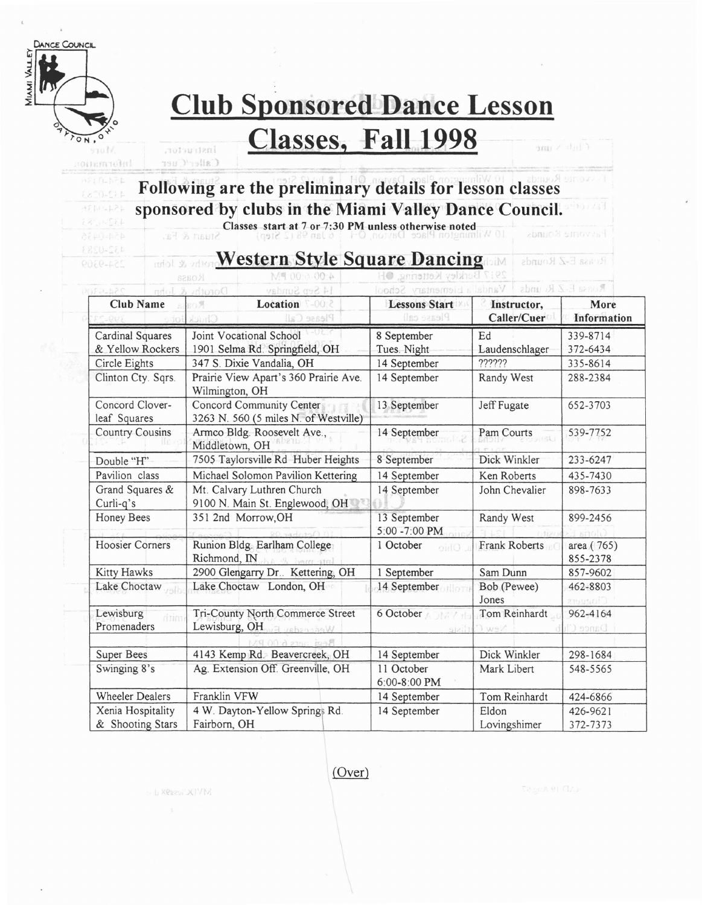

mformation

 $1210 - 521$  $(200 - 1)$  $AT10-121$ 

432-0283

## **Club Sponsored Dance Lesson**

## **Classes, Fall 1998**

Caller/Cuer

- L Resear JOVM

Instructor,

### , **Following are the preliminary details for lesson classes sponsored by clubs in the Miami Valley Dance Council.**

Classes start at 7 or 7:30 PM unless otherwise noted

#### **Western Style Square Dancing** Mic rothe & John

 $\overline{\text{V}}$ anc ROSSAR E-Z RG unds ementary Scho Club Name Resolution Location Resolution Lessons Start Instructor, More **Information** Cardinal Squares Joint Vocational School 8 September Ed 339-8714 & Yellow Rockers 1901 Selma Rd. Springfield, OH Tues. Night Laudenschlager 372-6434 Circle Eights 347 S. Dixie Vandalia, OH 14 September 7????? 335-8614 Clinton Cty. Sqrs. Prairie View Apart's 360 Prairie Ave. 14 September Randy West 288-2384 Wilmington, OH Concord Clover- Concord Community Center 13 September Jeff Fugate 652-3703 leaf Squares | 3263 N. 560 (5 miles N. of Westville) Country Cousins Armco Bldg. Roosevelt Ave., 14 September Pam Courts 539-7752 Middletown, OH Double "H" 7505 Taylorsville Rd Huber Heights 8 September Dick Winkler 233-6247 Pavilion class Michael Solomon Pavilion Kettering 14 September Ken Roberts 435-7430 Grand Squares & Mt. Calvary Luthren Church 14 September John Chevalier 898-7633 Curli-q's 9100 N. Main St. Englewood, OH Honey Bees 351 2nd Morrow, OH 13 September Randy West 899-2456 5:00 -7:00 PM Hoosier Corners Runion Bldg. Earlham College 1 October Frank Roberts and area ( 765) Richmond, IN 855-2378 Kitty Hawks 2900 Glengarry Dr.. Kettering, OH 1 September Sam Dunn 857-9602 Lake Choctaw Lake Choctaw London, OH 14 September Bob (Pewee) 462-8803 Jones Lewisburg Tri-County North Commerce Street 6 October Tom Reinhardt 962-4164 Promenaders | Lewisburg, OH Super Bees 4143 Kemp Rd. Beavercreek, OH 14 September Dick Winkler 298-1684 Swinging 8's Ag. Extension Off. Greenville, OH 11 October Mark Libert 548-5565 6:00-8:00 PM Wheeler Dealers Franklin VFW 14 September Tom Reinhardt 424-6866 Xenia Hospitality 4 W. Dayton-Yellow Springs Rd. 14 September Eldon 426-9621 & Shooting Stars Fairborn, OH  $\vert$  Lovingshimer 372-7373

 $\epsilon$  lift  $\epsilon$  and

Reasa E-Z Rounds